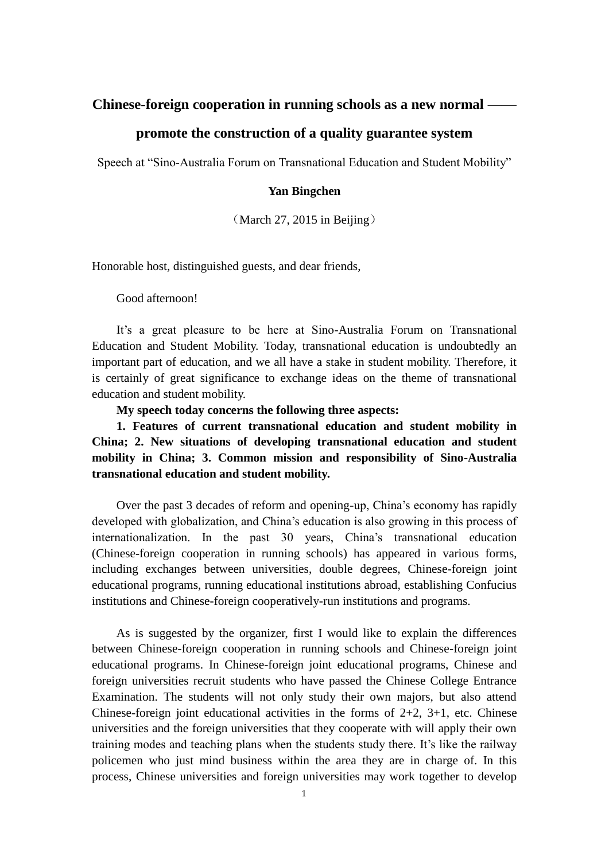### **Chinese-foreign cooperation in running schools as a new normal ——**

## **promote the construction of a quality guarantee system**

Speech at "Sino-Australia Forum on Transnational Education and Student Mobility"

#### **Yan Bingchen**

(March 27, 2015 in Beijing)

Honorable host, distinguished guests, and dear friends,

Good afternoon!

It's a great pleasure to be here at Sino-Australia Forum on Transnational Education and Student Mobility. Today, transnational education is undoubtedly an important part of education, and we all have a stake in student mobility. Therefore, it is certainly of great significance to exchange ideas on the theme of transnational education and student mobility.

**My speech today concerns the following three aspects:**

**1. Features of current transnational education and student mobility in China; 2. New situations of developing transnational education and student mobility in China; 3. Common mission and responsibility of Sino-Australia transnational education and student mobility.**

Over the past 3 decades of reform and opening-up, China's economy has rapidly developed with globalization, and China's education is also growing in this process of internationalization. In the past 30 years, China's transnational education (Chinese-foreign cooperation in running schools) has appeared in various forms, including exchanges between universities, double degrees, Chinese-foreign joint educational programs, running educational institutions abroad, establishing Confucius institutions and Chinese-foreign cooperatively-run institutions and programs.

As is suggested by the organizer, first I would like to explain the differences between Chinese-foreign cooperation in running schools and Chinese-foreign joint educational programs. In Chinese-foreign joint educational programs, Chinese and foreign universities recruit students who have passed the Chinese College Entrance Examination. The students will not only study their own majors, but also attend Chinese-foreign joint educational activities in the forms of  $2+2$ ,  $3+1$ , etc. Chinese universities and the foreign universities that they cooperate with will apply their own training modes and teaching plans when the students study there. It's like the railway policemen who just mind business within the area they are in charge of. In this process, Chinese universities and foreign universities may work together to develop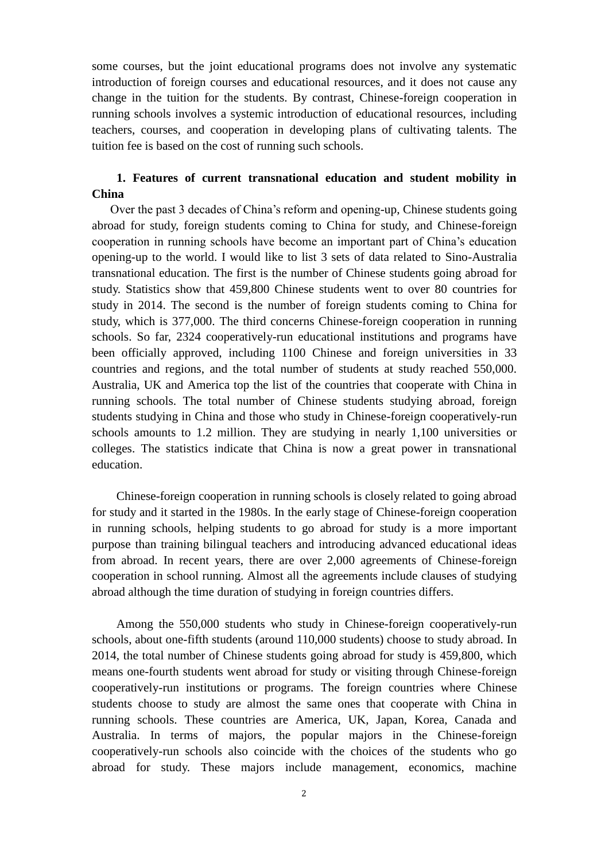some courses, but the joint educational programs does not involve any systematic introduction of foreign courses and educational resources, and it does not cause any change in the tuition for the students. By contrast, Chinese-foreign cooperation in running schools involves a systemic introduction of educational resources, including teachers, courses, and cooperation in developing plans of cultivating talents. The tuition fee is based on the cost of running such schools.

## **1. Features of current transnational education and student mobility in China**

Over the past 3 decades of China's reform and opening-up, Chinese students going abroad for study, foreign students coming to China for study, and Chinese-foreign cooperation in running schools have become an important part of China's education opening-up to the world. I would like to list 3 sets of data related to Sino-Australia transnational education. The first is the number of Chinese students going abroad for study. Statistics show that 459,800 Chinese students went to over 80 countries for study in 2014. The second is the number of foreign students coming to China for study, which is 377,000. The third concerns Chinese-foreign cooperation in running schools. So far, 2324 cooperatively-run educational institutions and programs have been officially approved, including 1100 Chinese and foreign universities in 33 countries and regions, and the total number of students at study reached 550,000. Australia, UK and America top the list of the countries that cooperate with China in running schools. The total number of Chinese students studying abroad, foreign students studying in China and those who study in Chinese-foreign cooperatively-run schools amounts to 1.2 million. They are studying in nearly 1,100 universities or colleges. The statistics indicate that China is now a great power in transnational education.

Chinese-foreign cooperation in running schools is closely related to going abroad for study and it started in the 1980s. In the early stage of Chinese-foreign cooperation in running schools, helping students to go abroad for study is a more important purpose than training bilingual teachers and introducing advanced educational ideas from abroad. In recent years, there are over 2,000 agreements of Chinese-foreign cooperation in school running. Almost all the agreements include clauses of studying abroad although the time duration of studying in foreign countries differs.

Among the 550,000 students who study in Chinese-foreign cooperatively-run schools, about one-fifth students (around 110,000 students) choose to study abroad. In 2014, the total number of Chinese students going abroad for study is 459,800, which means one-fourth students went abroad for study or visiting through Chinese-foreign cooperatively-run institutions or programs. The foreign countries where Chinese students choose to study are almost the same ones that cooperate with China in running schools. These countries are America, UK, Japan, Korea, Canada and Australia. In terms of majors, the popular majors in the Chinese-foreign cooperatively-run schools also coincide with the choices of the students who go abroad for study. These majors include management, economics, machine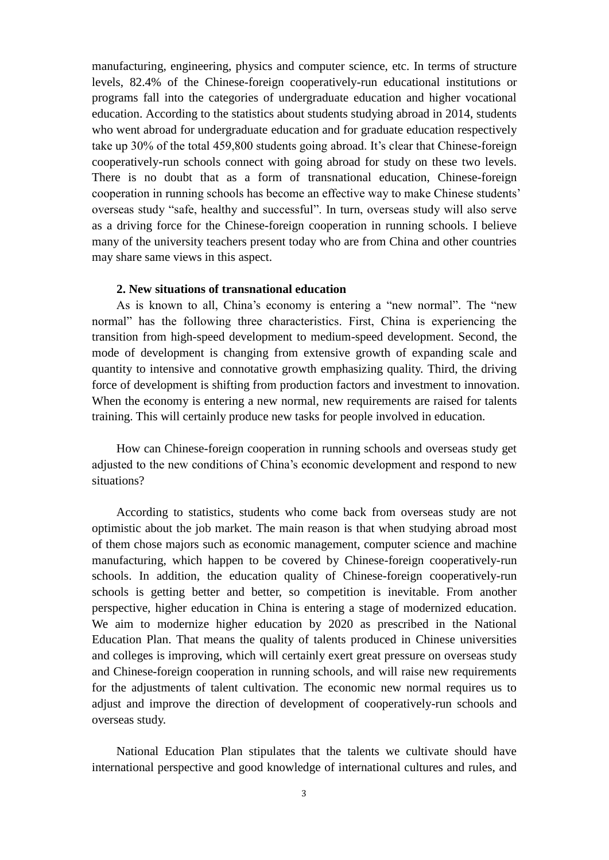manufacturing, engineering, physics and computer science, etc. In terms of structure levels, 82.4% of the Chinese-foreign cooperatively-run educational institutions or programs fall into the categories of undergraduate education and higher vocational education. According to the statistics about students studying abroad in 2014, students who went abroad for undergraduate education and for graduate education respectively take up 30% of the total 459,800 students going abroad. It's clear that Chinese-foreign cooperatively-run schools connect with going abroad for study on these two levels. There is no doubt that as a form of transnational education, Chinese-foreign cooperation in running schools has become an effective way to make Chinese students' overseas study "safe, healthy and successful". In turn, overseas study will also serve as a driving force for the Chinese-foreign cooperation in running schools. I believe many of the university teachers present today who are from China and other countries may share same views in this aspect.

#### **2. New situations of transnational education**

As is known to all, China's economy is entering a "new normal". The "new normal" has the following three characteristics. First, China is experiencing the transition from high-speed development to medium-speed development. Second, the mode of development is changing from extensive growth of expanding scale and quantity to intensive and connotative growth emphasizing quality. Third, the driving force of development is shifting from production factors and investment to innovation. When the economy is entering a new normal, new requirements are raised for talents training. This will certainly produce new tasks for people involved in education.

How can Chinese-foreign cooperation in running schools and overseas study get adjusted to the new conditions of China's economic development and respond to new situations?

According to statistics, students who come back from overseas study are not optimistic about the job market. The main reason is that when studying abroad most of them chose majors such as economic management, computer science and machine manufacturing, which happen to be covered by Chinese-foreign cooperatively-run schools. In addition, the education quality of Chinese-foreign cooperatively-run schools is getting better and better, so competition is inevitable. From another perspective, higher education in China is entering a stage of modernized education. We aim to modernize higher education by 2020 as prescribed in the National Education Plan. That means the quality of talents produced in Chinese universities and colleges is improving, which will certainly exert great pressure on overseas study and Chinese-foreign cooperation in running schools, and will raise new requirements for the adjustments of talent cultivation. The economic new normal requires us to adjust and improve the direction of development of cooperatively-run schools and overseas study.

National Education Plan stipulates that the talents we cultivate should have international perspective and good knowledge of international cultures and rules, and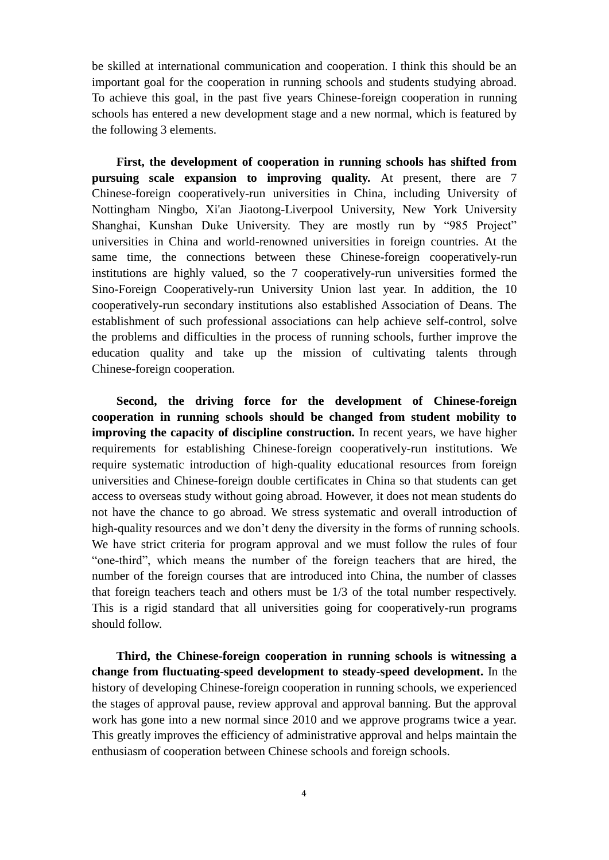be skilled at international communication and cooperation. I think this should be an important goal for the cooperation in running schools and students studying abroad. To achieve this goal, in the past five years Chinese-foreign cooperation in running schools has entered a new development stage and a new normal, which is featured by the following 3 elements.

**First, the development of cooperation in running schools has shifted from pursuing scale expansion to improving quality.** At present, there are 7 Chinese-foreign cooperatively-run universities in China, including University of Nottingham Ningbo, Xi'an Jiaotong-Liverpool University, New York University Shanghai, Kunshan Duke University. They are mostly run by "985 Project" universities in China and world-renowned universities in foreign countries. At the same time, the connections between these Chinese-foreign cooperatively-run institutions are highly valued, so the 7 cooperatively-run universities formed the Sino-Foreign Cooperatively-run University Union last year. In addition, the 10 cooperatively-run secondary institutions also established Association of Deans. The establishment of such professional associations can help achieve self-control, solve the problems and difficulties in the process of running schools, further improve the education quality and take up the mission of cultivating talents through Chinese-foreign cooperation.

**Second, the driving force for the development of Chinese-foreign cooperation in running schools should be changed from student mobility to improving the capacity of discipline construction.** In recent years, we have higher requirements for establishing Chinese-foreign cooperatively-run institutions. We require systematic introduction of high-quality educational resources from foreign universities and Chinese-foreign double certificates in China so that students can get access to overseas study without going abroad. However, it does not mean students do not have the chance to go abroad. We stress systematic and overall introduction of high-quality resources and we don't deny the diversity in the forms of running schools. We have strict criteria for program approval and we must follow the rules of four "one-third", which means the number of the foreign teachers that are hired, the number of the foreign courses that are introduced into China, the number of classes that foreign teachers teach and others must be 1/3 of the total number respectively. This is a rigid standard that all universities going for cooperatively-run programs should follow.

**Third, the Chinese-foreign cooperation in running schools is witnessing a change from fluctuating-speed development to steady-speed development.** In the history of developing Chinese-foreign cooperation in running schools, we experienced the stages of approval pause, review approval and approval banning. But the approval work has gone into a new normal since 2010 and we approve programs twice a year. This greatly improves the efficiency of administrative approval and helps maintain the enthusiasm of cooperation between Chinese schools and foreign schools.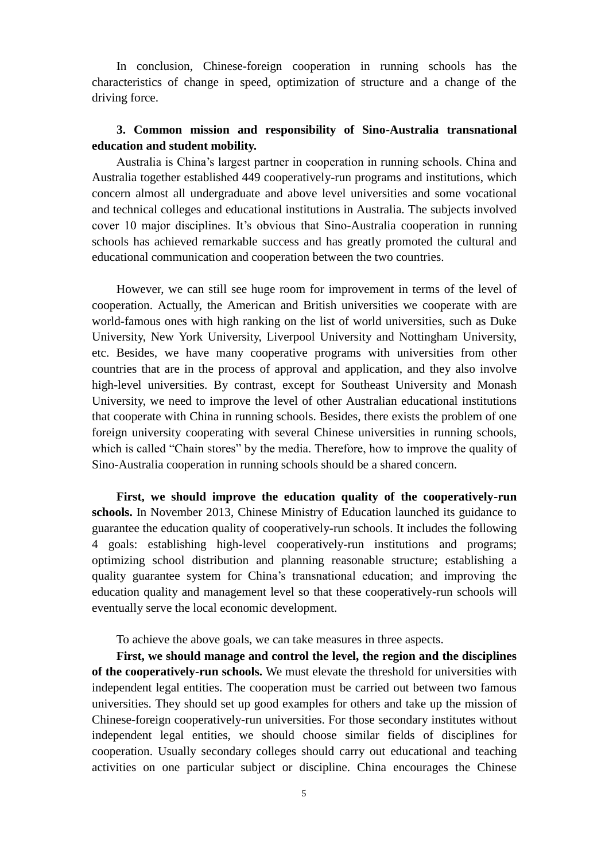In conclusion, Chinese-foreign cooperation in running schools has the characteristics of change in speed, optimization of structure and a change of the driving force.

# **3. Common mission and responsibility of Sino-Australia transnational education and student mobility.**

Australia is China's largest partner in cooperation in running schools. China and Australia together established 449 cooperatively-run programs and institutions, which concern almost all undergraduate and above level universities and some vocational and technical colleges and educational institutions in Australia. The subjects involved cover 10 major disciplines. It's obvious that Sino-Australia cooperation in running schools has achieved remarkable success and has greatly promoted the cultural and educational communication and cooperation between the two countries.

However, we can still see huge room for improvement in terms of the level of cooperation. Actually, the American and British universities we cooperate with are world-famous ones with high ranking on the list of world universities, such as Duke University, New York University, Liverpool University and Nottingham University, etc. Besides, we have many cooperative programs with universities from other countries that are in the process of approval and application, and they also involve high-level universities. By contrast, except for Southeast University and Monash University, we need to improve the level of other Australian educational institutions that cooperate with China in running schools. Besides, there exists the problem of one foreign university cooperating with several Chinese universities in running schools, which is called "Chain stores" by the media. Therefore, how to improve the quality of Sino-Australia cooperation in running schools should be a shared concern.

**First, we should improve the education quality of the cooperatively-run schools.** In November 2013, Chinese Ministry of Education launched its guidance to guarantee the education quality of cooperatively-run schools. It includes the following 4 goals: establishing high-level cooperatively-run institutions and programs; optimizing school distribution and planning reasonable structure; establishing a quality guarantee system for China's transnational education; and improving the education quality and management level so that these cooperatively-run schools will eventually serve the local economic development.

To achieve the above goals, we can take measures in three aspects.

**First, we should manage and control the level, the region and the disciplines of the cooperatively-run schools.** We must elevate the threshold for universities with independent legal entities. The cooperation must be carried out between two famous universities. They should set up good examples for others and take up the mission of Chinese-foreign cooperatively-run universities. For those secondary institutes without independent legal entities, we should choose similar fields of disciplines for cooperation. Usually secondary colleges should carry out educational and teaching activities on one particular subject or discipline. China encourages the Chinese